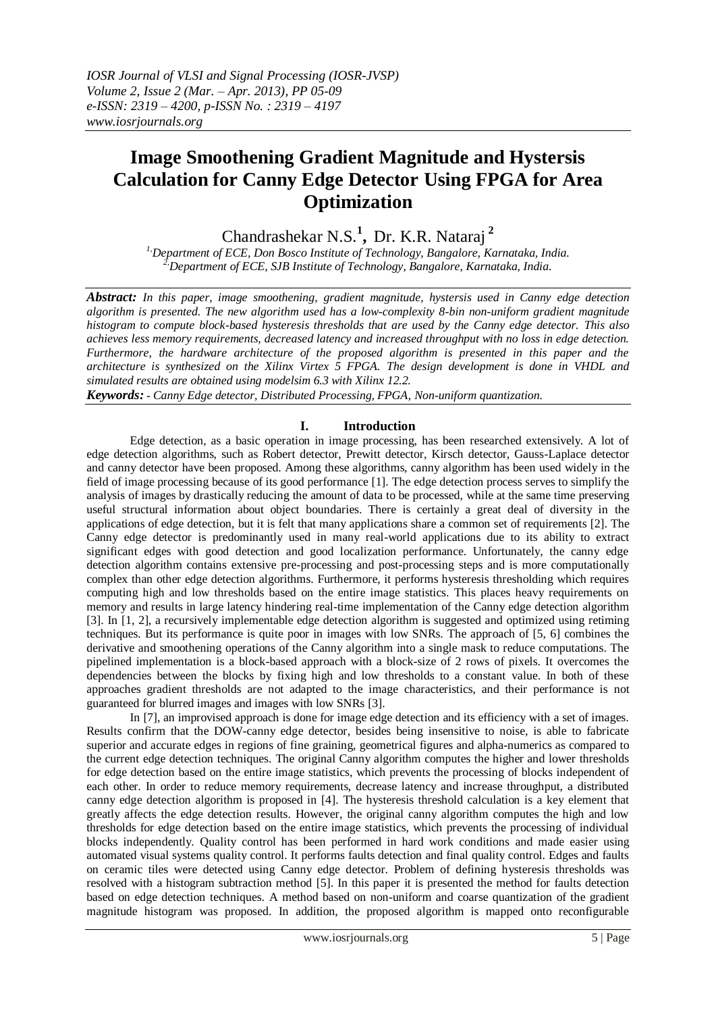# **Image Smoothening Gradient Magnitude and Hystersis Calculation for Canny Edge Detector Using FPGA for Area Optimization**

Chandrashekar N.S.**<sup>1</sup> ,** Dr. K.R. Nataraj **<sup>2</sup>**

*1,Department of ECE, Don Bosco Institute of Technology, Bangalore, Karnataka, India. 2,Department of ECE, SJB Institute of Technology, Bangalore, Karnataka, India.*

*Abstract: In this paper, image smoothening, gradient magnitude, hystersis used in Canny edge detection algorithm is presented. The new algorithm used has a low-complexity 8-bin non-uniform gradient magnitude histogram to compute block-based hysteresis thresholds that are used by the Canny edge detector. This also achieves less memory requirements, decreased latency and increased throughput with no loss in edge detection. Furthermore, the hardware architecture of the proposed algorithm is presented in this paper and the architecture is synthesized on the Xilinx Virtex 5 FPGA. The design development is done in VHDL and simulated results are obtained using modelsim 6.3 with Xilinx 12.2.*

*Keywords:* **-** *Canny Edge detector, Distributed Processing, FPGA, Non-uniform quantization.*

## **I. Introduction**

Edge detection, as a basic operation in image processing, has been researched extensively. A lot of edge detection algorithms, such as Robert detector, Prewitt detector, Kirsch detector, Gauss-Laplace detector and canny detector have been proposed. Among these algorithms, canny algorithm has been used widely in the field of image processing because of its good performance [1]. The edge detection process serves to simplify the analysis of images by drastically reducing the amount of data to be processed, while at the same time preserving useful structural information about object boundaries. There is certainly a great deal of diversity in the applications of edge detection, but it is felt that many applications share a common set of requirements [2]. The Canny edge detector is predominantly used in many real-world applications due to its ability to extract significant edges with good detection and good localization performance. Unfortunately, the canny edge detection algorithm contains extensive pre-processing and post-processing steps and is more computationally complex than other edge detection algorithms. Furthermore, it performs hysteresis thresholding which requires computing high and low thresholds based on the entire image statistics. This places heavy requirements on memory and results in large latency hindering real-time implementation of the Canny edge detection algorithm [3]. In [1, 2], a recursively implementable edge detection algorithm is suggested and optimized using retiming techniques. But its performance is quite poor in images with low SNRs. The approach of [5, 6] combines the derivative and smoothening operations of the Canny algorithm into a single mask to reduce computations. The pipelined implementation is a block-based approach with a block-size of 2 rows of pixels. It overcomes the dependencies between the blocks by fixing high and low thresholds to a constant value. In both of these approaches gradient thresholds are not adapted to the image characteristics, and their performance is not guaranteed for blurred images and images with low SNRs [3].

In [7], an improvised approach is done for image edge detection and its efficiency with a set of images. Results confirm that the DOW-canny edge detector, besides being insensitive to noise, is able to fabricate superior and accurate edges in regions of fine graining, geometrical figures and alpha-numerics as compared to the current edge detection techniques. The original Canny algorithm computes the higher and lower thresholds for edge detection based on the entire image statistics, which prevents the processing of blocks independent of each other. In order to reduce memory requirements, decrease latency and increase throughput, a distributed canny edge detection algorithm is proposed in [4]. The hysteresis threshold calculation is a key element that greatly affects the edge detection results. However, the original canny algorithm computes the high and low thresholds for edge detection based on the entire image statistics, which prevents the processing of individual blocks independently. Quality control has been performed in hard work conditions and made easier using automated visual systems quality control. It performs faults detection and final quality control. Edges and faults on ceramic tiles were detected using Canny edge detector. Problem of defining hysteresis thresholds was resolved with a histogram subtraction method [5]. In this paper it is presented the method for faults detection based on edge detection techniques. A method based on non-uniform and coarse quantization of the gradient magnitude histogram was proposed. In addition, the proposed algorithm is mapped onto reconfigurable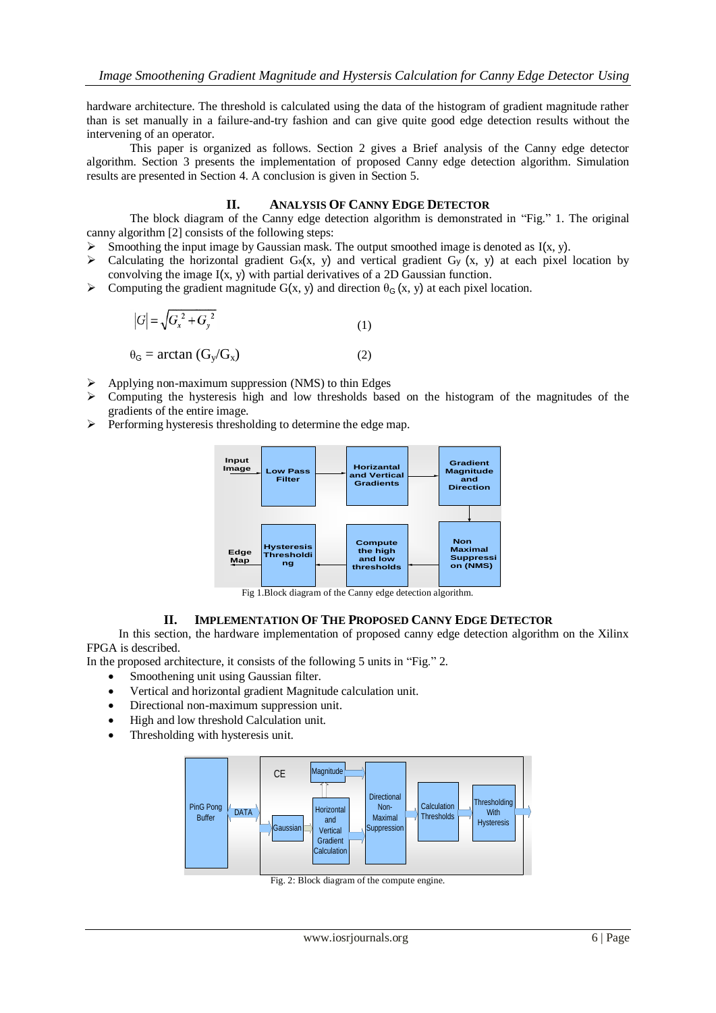hardware architecture. The threshold is calculated using the data of the histogram of gradient magnitude rather than is set manually in a failure-and-try fashion and can give quite good edge detection results without the intervening of an operator.

This paper is organized as follows. Section 2 gives a Brief analysis of the Canny edge detector algorithm. Section 3 presents the implementation of proposed Canny edge detection algorithm. Simulation results are presented in Section 4. A conclusion is given in Section 5.

# **II. ANALYSIS OF CANNY EDGE DETECTOR**

The block diagram of the Canny edge detection algorithm is demonstrated in "Fig." 1. The original canny algorithm [2] consists of the following steps:

- Smoothing the input image by Gaussian mask. The output smoothed image is denoted as  $I(x, y)$ .
- $\triangleright$  Calculating the horizontal gradient G<sub>x</sub>(x, y) and vertical gradient G<sub>y</sub>(x, y) at each pixel location by convolving the image I(x, y) with partial derivatives of a 2D Gaussian function.
- $\triangleright$  Computing the gradient magnitude G(x, y) and direction  $\theta_G(x, y)$  at each pixel location.

$$
|G| = \sqrt{G_x^2 + G_y^2}
$$
 (1)

$$
\theta_{\rm G} = \arctan\left(\rm G_y/\rm G_x\right) \tag{2}
$$

- $\triangleright$  Applying non-maximum suppression (NMS) to thin Edges
- $\triangleright$  Computing the hysteresis high and low thresholds based on the histogram of the magnitudes of the gradients of the entire image.
- $\triangleright$  Performing hysteresis thresholding to determine the edge map.



Fig 1.Block diagram of the Canny edge detection algorithm.

#### **II. IMPLEMENTATION OF THE PROPOSED CANNY EDGE DETECTOR**

In this section, the hardware implementation of proposed canny edge detection algorithm on the Xilinx FPGA is described.

In the proposed architecture, it consists of the following 5 units in "Fig." 2.

- Smoothening unit using Gaussian filter.
- Vertical and horizontal gradient Magnitude calculation unit.
- Directional non-maximum suppression unit.
- High and low threshold Calculation unit.
- Thresholding with hysteresis unit.



Fig. 2: Block diagram of the compute engine.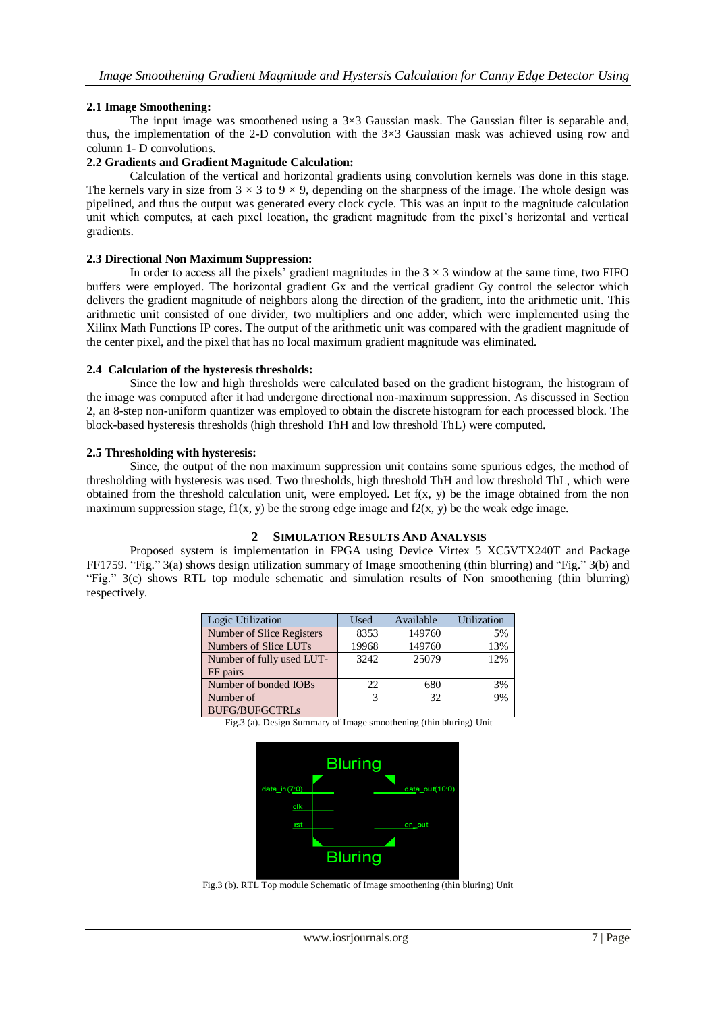# **2.1 Image Smoothening:**

The input image was smoothened using a  $3\times3$  Gaussian mask. The Gaussian filter is separable and, thus, the implementation of the 2-D convolution with the  $3\times3$  Gaussian mask was achieved using row and column 1- D convolutions.

#### **2.2 Gradients and Gradient Magnitude Calculation:**

Calculation of the vertical and horizontal gradients using convolution kernels was done in this stage. The kernels vary in size from  $3 \times 3$  to  $9 \times 9$ , depending on the sharpness of the image. The whole design was pipelined, and thus the output was generated every clock cycle. This was an input to the magnitude calculation unit which computes, at each pixel location, the gradient magnitude from the pixel's horizontal and vertical gradients.

### **2.3 Directional Non Maximum Suppression:**

In order to access all the pixels' gradient magnitudes in the  $3 \times 3$  window at the same time, two FIFO buffers were employed. The horizontal gradient Gx and the vertical gradient Gy control the selector which delivers the gradient magnitude of neighbors along the direction of the gradient, into the arithmetic unit. This arithmetic unit consisted of one divider, two multipliers and one adder, which were implemented using the Xilinx Math Functions IP cores. The output of the arithmetic unit was compared with the gradient magnitude of the center pixel, and the pixel that has no local maximum gradient magnitude was eliminated.

## **2.4 Calculation of the hysteresis thresholds:**

Since the low and high thresholds were calculated based on the gradient histogram, the histogram of the image was computed after it had undergone directional non-maximum suppression. As discussed in Section 2, an 8-step non-uniform quantizer was employed to obtain the discrete histogram for each processed block. The block-based hysteresis thresholds (high threshold ThH and low threshold ThL) were computed.

## **2.5 Thresholding with hysteresis:**

Since, the output of the non maximum suppression unit contains some spurious edges, the method of thresholding with hysteresis was used. Two thresholds, high threshold ThH and low threshold ThL, which were obtained from the threshold calculation unit, were employed. Let  $f(x, y)$  be the image obtained from the non maximum suppression stage,  $f(x, y)$  be the strong edge image and  $f(x, y)$  be the weak edge image.

# **2 SIMULATION RESULTS AND ANALYSIS**

Proposed system is implementation in FPGA using Device Virtex 5 XC5VTX240T and Package FF1759. "Fig." 3(a) shows design utilization summary of Image smoothening (thin blurring) and "Fig." 3(b) and "Fig." 3(c) shows RTL top module schematic and simulation results of Non smoothening (thin blurring) respectively.

| Logic Utilization         | Used  | Available | Utilization |
|---------------------------|-------|-----------|-------------|
| Number of Slice Registers | 8353  | 149760    | 5%          |
| Numbers of Slice LUTs     | 19968 | 149760    | 13%         |
| Number of fully used LUT- | 3242  | 25079     | 12%         |
| FF pairs                  |       |           |             |
| Number of bonded IOBs     | 22    | 680       | 3%          |
| Number of                 | 3     | 32        | 9%          |
| <b>BUFG/BUFGCTRLs</b>     |       |           |             |

Fig.3 (a). Design Summary of Image smoothening (thin bluring) Unit



Fig.3 (b). RTL Top module Schematic of Image smoothening (thin bluring) Unit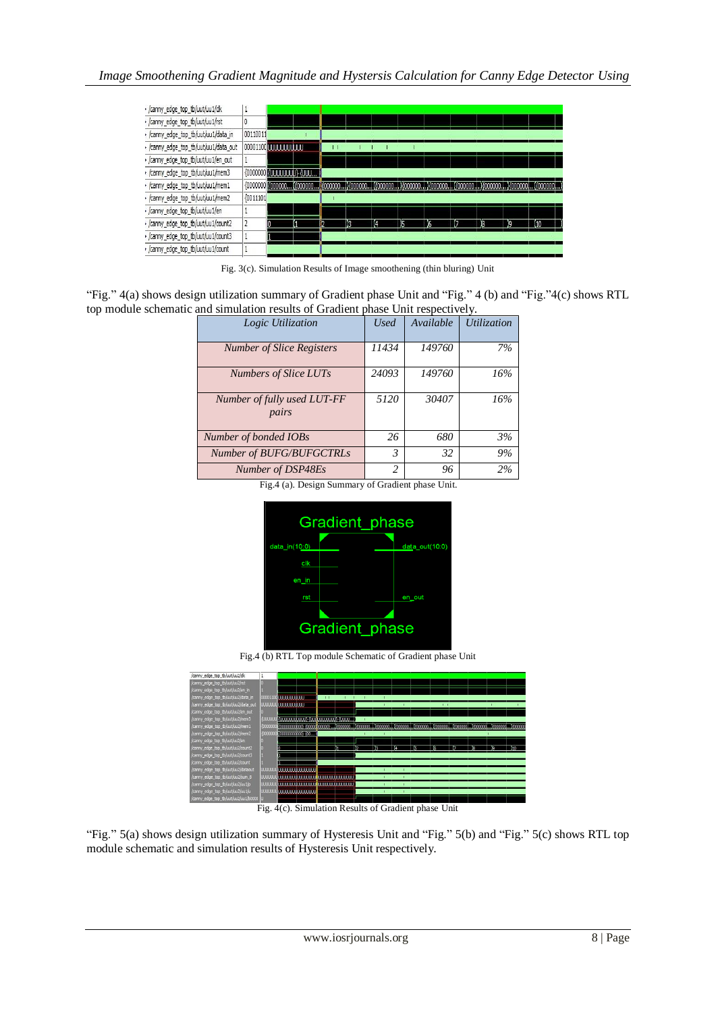

Fig. 3(c). Simulation Results of Image smoothening (thin bluring) Unit

"Fig." 4(a) shows design utilization summary of Gradient phase Unit and "Fig." 4 (b) and "Fig."4(c) shows RTL top module schematic and simulation results of Gradient phase Unit respectively.

| Logic Utilization                    | <b>Used</b>              | Available | <b>Utilization</b> |  |
|--------------------------------------|--------------------------|-----------|--------------------|--|
| <b>Number of Slice Registers</b>     | 11434                    | 149760    | 7%                 |  |
| <b>Numbers of Slice LUTs</b>         | 24093                    | 149760    | 16%                |  |
| Number of fully used LUT-FF<br>pairs | 5120                     | 30407     | 16%                |  |
| Number of bonded IOBs                | 26                       | 680       | 3%                 |  |
| Number of BUFG/BUFGCTRLs             | 3                        | 32        | 9%                 |  |
| Number of DSP48Es                    | $\overline{\mathcal{L}}$ | 96        | 2%                 |  |

Fig.4 (a). Design Summary of Gradient phase Unit.



Fig.4 (b) RTL Top module Schematic of Gradient phase Unit



Fig. 4(c). Simulation Results of Gradient phase Unit

"Fig." 5(a) shows design utilization summary of Hysteresis Unit and "Fig." 5(b) and "Fig." 5(c) shows RTL top module schematic and simulation results of Hysteresis Unit respectively.